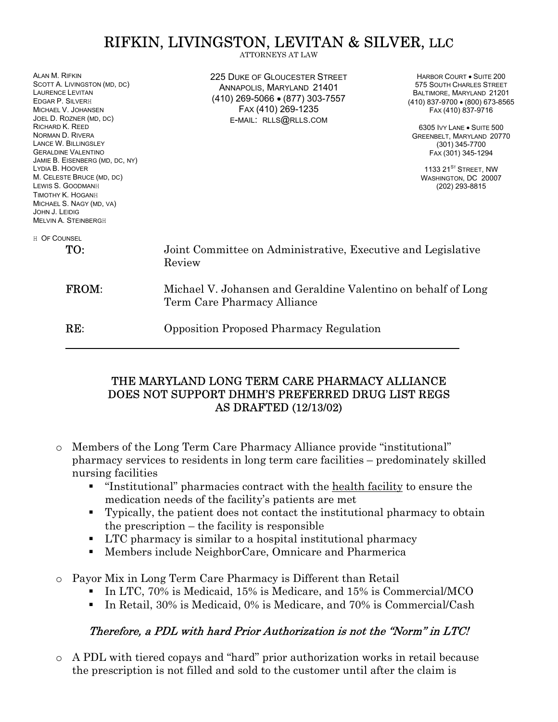# RIFKIN, LIVINGSTON, LEVITAN & SILVER, LLC

ALAN M. RIFKIN SCOTT A. LIVINGSTON (MD, DC) LAURENCE LEVITAN EDGAR P. SILVERH MICHAEL V. JOHANSEN JOEL D. ROZNER (MD, DC) RICHARD K. REED NORMAN D. RIVERA LANCE W. BILLINGSLEY GERALDINE VALENTINO JAMIE B. EISENBERG (MD, DC, NY) LYDIA B. HOOVER M. CELESTE BRUCE (MD, DC) LEWIS S. GOODMANH TIMOTHY K. HOGANH MICHAEL S. NAGY (MD, VA) JOHN J. LEIDIG MELVIN A. STEINBERGH H OF COUNSEL 225 DUKE OF GLOUCESTER STREET ANNAPOLIS, MARYLAND 21401 (410) 269-5066 • (877) 303-7557 FAX (410) 269-1235 E-MAIL: RLLS@RLLS.COM TO: Joint Committee on Administrative, Executive and Legislative Review FROM: Michael V. Johansen and Geraldine Valentino on behalf of Long Term Care Pharmacy Alliance RE: Opposition Proposed Pharmacy Regulation

## THE MARYLAND LONG TERM CARE PHARMACY ALLIANCE DOES NOT SUPPORT DHMH'S PREFERRED DRUG LIST REGS AS DRAFTED (12/13/02)

- o Members of the Long Term Care Pharmacy Alliance provide "institutional" pharmacy services to residents in long term care facilities – predominately skilled nursing facilities
	- "Institutional" pharmacies contract with the health facility to ensure the medication needs of the facility's patients are met
	- Typically, the patient does not contact the institutional pharmacy to obtain the prescription – the facility is responsible
	- LTC pharmacy is similar to a hospital institutional pharmacy
	- Members include NeighborCare, Omnicare and Pharmerica
- o Payor Mix in Long Term Care Pharmacy is Different than Retail
	- In LTC, 70% is Medicaid, 15% is Medicare, and 15% is Commercial/MCO
	- In Retail, 30% is Medicaid, 0% is Medicare, and 70% is Commercial/Cash

# Therefore, a PDL with hard Prior Authorization is not the "Norm" in LTC!

o A PDL with tiered copays and "hard" prior authorization works in retail because the prescription is not filled and sold to the customer until after the claim is

HARBOR COURT • SUITE 200 575 SOUTH CHARLES STREET BALTIMORE, MARYLAND 21201 (410) 837-9700 • (800) 673-8565 FAX (410) 837-9716

6305 IVY LANE • SUITE 500 GREENBELT, MARYLAND 20770 (301) 345-7700 FAX (301) 345-1294

1133  $21^{S_T}$  Street, NW WASHINGTON, DC 20007 (202) 293-8815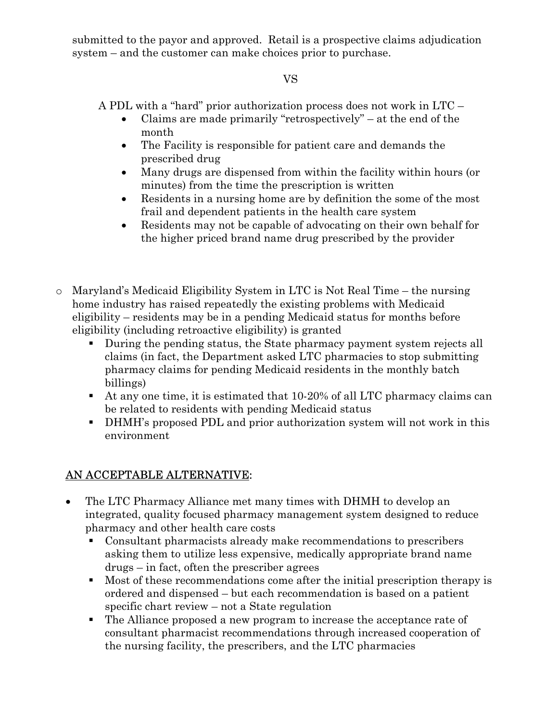submitted to the payor and approved. Retail is a prospective claims adjudication system – and the customer can make choices prior to purchase.

# VS

A PDL with a "hard" prior authorization process does not work in LTC –

- Claims are made primarily "retrospectively" at the end of the month
- The Facility is responsible for patient care and demands the prescribed drug
- Many drugs are dispensed from within the facility within hours (or minutes) from the time the prescription is written
- Residents in a nursing home are by definition the some of the most frail and dependent patients in the health care system
- Residents may not be capable of advocating on their own behalf for the higher priced brand name drug prescribed by the provider
- o Maryland's Medicaid Eligibility System in LTC is Not Real Time the nursing home industry has raised repeatedly the existing problems with Medicaid eligibility – residents may be in a pending Medicaid status for months before eligibility (including retroactive eligibility) is granted
	- During the pending status, the State pharmacy payment system rejects all claims (in fact, the Department asked LTC pharmacies to stop submitting pharmacy claims for pending Medicaid residents in the monthly batch billings)
	- At any one time, it is estimated that 10-20% of all LTC pharmacy claims can be related to residents with pending Medicaid status
	- DHMH's proposed PDL and prior authorization system will not work in this environment

# AN ACCEPTABLE ALTERNATIVE:

- The LTC Pharmacy Alliance met many times with DHMH to develop an integrated, quality focused pharmacy management system designed to reduce pharmacy and other health care costs
	- Consultant pharmacists already make recommendations to prescribers asking them to utilize less expensive, medically appropriate brand name drugs – in fact, often the prescriber agrees
	- Most of these recommendations come after the initial prescription therapy is ordered and dispensed – but each recommendation is based on a patient specific chart review – not a State regulation
	- The Alliance proposed a new program to increase the acceptance rate of consultant pharmacist recommendations through increased cooperation of the nursing facility, the prescribers, and the LTC pharmacies